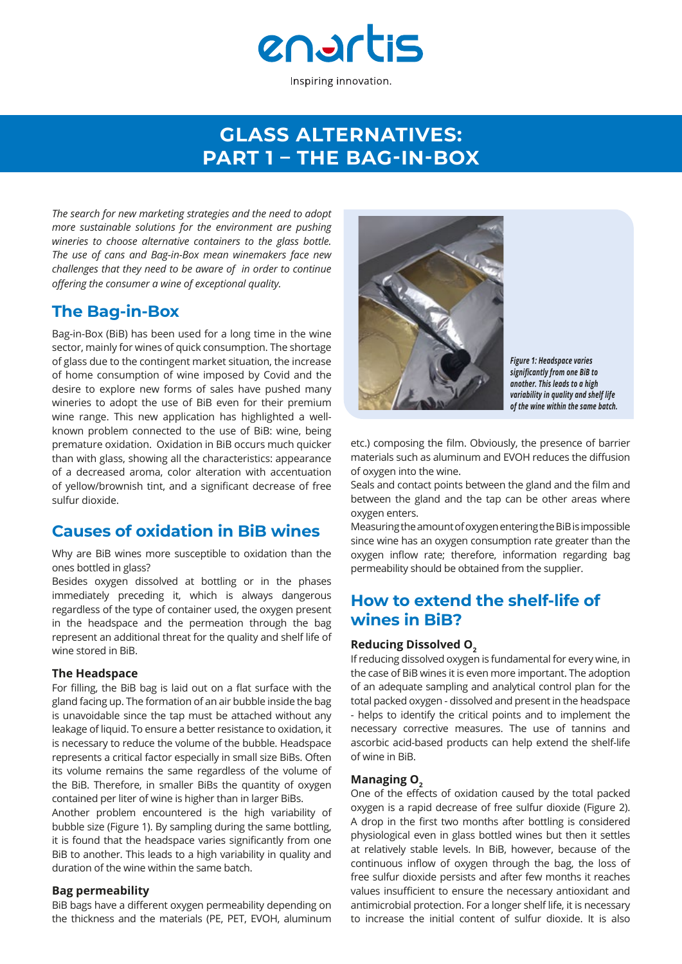

# **GLASS ALTERNATIVES: PART 1 – THE BAG-IN-BOX**

*The search for new marketing strategies and the need to adopt more sustainable solutions for the environment are pushing wineries to choose alternative containers to the glass bottle. The use of cans and Bag-in-Box mean winemakers face new challenges that they need to be aware of in order to continue offering the consumer a wine of exceptional quality.*

### **The Bag-in-Box**

Bag-in-Box (BiB) has been used for a long time in the wine sector, mainly for wines of quick consumption. The shortage of glass due to the contingent market situation, the increase of home consumption of wine imposed by Covid and the desire to explore new forms of sales have pushed many wineries to adopt the use of BiB even for their premium wine range. This new application has highlighted a wellknown problem connected to the use of BiB: wine, being premature oxidation. Oxidation in BiB occurs much quicker than with glass, showing all the characteristics: appearance of a decreased aroma, color alteration with accentuation of yellow/brownish tint, and a significant decrease of free sulfur dioxide.

## **Causes of oxidation in BiB wines**

Why are BiB wines more susceptible to oxidation than the ones bottled in glass?

Besides oxygen dissolved at bottling or in the phases immediately preceding it, which is always dangerous regardless of the type of container used, the oxygen present in the headspace and the permeation through the bag represent an additional threat for the quality and shelf life of wine stored in BiB.

### **The Headspace**

For filling, the BiB bag is laid out on a flat surface with the gland facing up. The formation of an air bubble inside the bag is unavoidable since the tap must be attached without any leakage of liquid. To ensure a better resistance to oxidation, it is necessary to reduce the volume of the bubble. Headspace represents a critical factor especially in small size BiBs. Often its volume remains the same regardless of the volume of the BiB. Therefore, in smaller BiBs the quantity of oxygen contained per liter of wine is higher than in larger BiBs.

Another problem encountered is the high variability of bubble size (Figure 1). By sampling during the same bottling, it is found that the headspace varies significantly from one BiB to another. This leads to a high variability in quality and duration of the wine within the same batch.

### **Bag permeability**

BiB bags have a different oxygen permeability depending on the thickness and the materials (PE, PET, EVOH, aluminum



*Figure 1: Headspace varies significantly from one BiB to another. This leads to a high variability in quality and shelf life of the wine within the same batch.*

etc.) composing the film. Obviously, the presence of barrier materials such as aluminum and EVOH reduces the diffusion of oxygen into the wine.

Seals and contact points between the gland and the film and between the gland and the tap can be other areas where oxygen enters.

Measuring the amount of oxygen entering the BiB is impossible since wine has an oxygen consumption rate greater than the oxygen inflow rate; therefore, information regarding bag permeability should be obtained from the supplier.

## **How to extend the shelf-life of wines in BiB?**

### **Reducing Dissolved O<sub>2</sub>**

If reducing dissolved oxygen is fundamental for every wine, in the case of BiB wines it is even more important. The adoption of an adequate sampling and analytical control plan for the total packed oxygen - dissolved and present in the headspace - helps to identify the critical points and to implement the necessary corrective measures. The use of tannins and ascorbic acid-based products can help extend the shelf-life of wine in BiB.

### **Managing O<sub>2</sub>**

One of the effects of oxidation caused by the total packed oxygen is a rapid decrease of free sulfur dioxide (Figure 2). A drop in the first two months after bottling is considered physiological even in glass bottled wines but then it settles at relatively stable levels. In BiB, however, because of the continuous inflow of oxygen through the bag, the loss of free sulfur dioxide persists and after few months it reaches values insufficient to ensure the necessary antioxidant and antimicrobial protection. For a longer shelf life, it is necessary to increase the initial content of sulfur dioxide. It is also